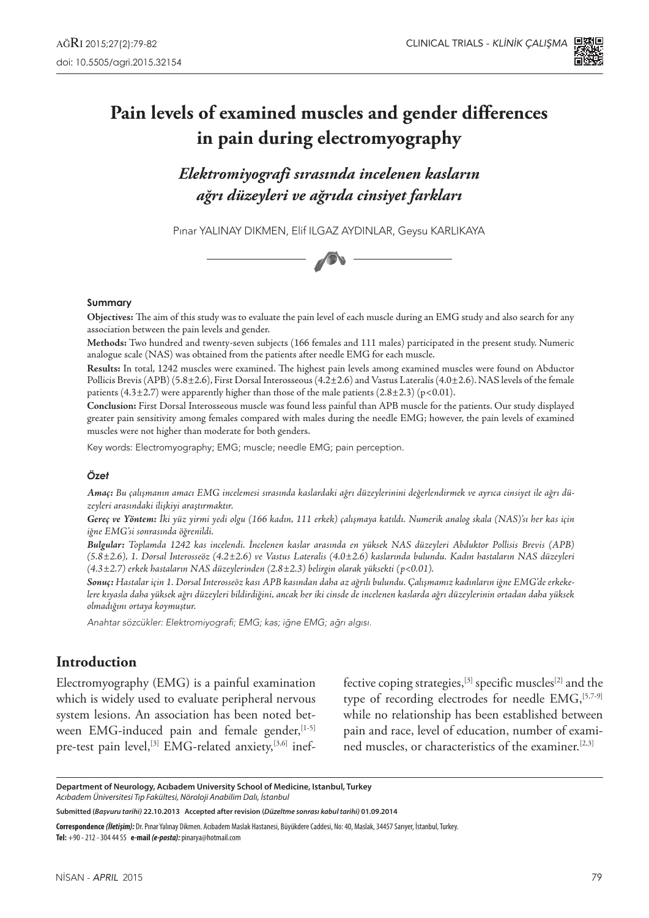

# **Pain levels of examined muscles and gender differences in pain during electromyography**

*Elektromiyografi sırasında incelenen kasların ağrı düzeyleri ve ağrıda cinsiyet farkları*

Pınar YALINAY DIKMEN, Elif Ilgaz Aydınlar, Geysu Karlıkaya



#### **Summary**

**Objectives:** The aim of this study was to evaluate the pain level of each muscle during an EMG study and also search for any association between the pain levels and gender.

**Methods:** Two hundred and twenty-seven subjects (166 females and 111 males) participated in the present study. Numeric analogue scale (NAS) was obtained from the patients after needle EMG for each muscle.

**Results:** In total, 1242 muscles were examined. The highest pain levels among examined muscles were found on Abductor Pollicis Brevis (APB) (5.8±2.6), First Dorsal Interosseous (4.2±2.6) and Vastus Lateralis (4.0±2.6). NAS levels of the female patients (4.3 $\pm$ 2.7) were apparently higher than those of the male patients (2.8 $\pm$ 2.3) (p<0.01).

**Conclusion:** First Dorsal Interosseous muscle was found less painful than APB muscle for the patients. Our study displayed greater pain sensitivity among females compared with males during the needle EMG; however, the pain levels of examined muscles were not higher than moderate for both genders.

Key words: Electromyography; EMG; muscle; needle EMG; pain perception.

#### *Özet*

*Amaç: Bu çalışmanın amacı EMG incelemesi sırasında kaslardaki ağrı düzeylerinini değerlendirmek ve ayrıca cinsiyet ile ağrı düzeyleri arasındaki ilişkiyi araştırmaktır.*

*Gereç ve Yöntem: İki yüz yirmi yedi olgu (166 kadın, 111 erkek) çalışmaya katıldı. Numerik analog skala (NAS)'sı her kas için iğne EMG'si sonrasında öğrenildi.*

*Bulgular: Toplamda 1242 kas incelendi. İncelenen kaslar arasında en yüksek NAS düzeyleri Abduktor Pollisis Brevis (APB) (5.8±2.6), 1. Dorsal Interosseöz (4.2±2.6) ve Vastus Lateralis (4.0±2.6) kaslarında bulundu. Kadın hastaların NAS düzeyleri (4.3±2.7) erkek hastaların NAS düzeylerinden (2.8±2.3) belirgin olarak yüksekti (p<0.01).*

*Sonuç: Hastalar için 1. Dorsal Interosseöz kası APB kasından daha az ağrılı bulundu. Çalışmamız kadınların iğne EMG'de erkekelere kıyasla daha yüksek ağrı düzeyleri bildirdiğini, ancak her iki cinsde de incelenen kaslarda ağrı düzeylerinin ortadan daha yüksek olmadığını ortaya koymuştur.*

Anahtar sözcükler: Elektromiyografi; EMG; kas; iğne EMG; ağrı algısı.

### **Introduction**

Electromyography (EMG) is a painful examination which is widely used to evaluate peripheral nervous system lesions. An association has been noted between EMG-induced pain and female gender,  $[1-5]$ pre-test pain level,<sup>[3]</sup> EMG-related anxiety,<sup>[3,6]</sup> inef-

fective coping strategies,  $[3]$  specific muscles<sup>[2]</sup> and the type of recording electrodes for needle  $EMG$ ,  $[5,7-9]$ while no relationship has been established between pain and race, level of education, number of examined muscles, or characteristics of the examiner.[2,3]

**Department of Neurology, Acıbadem University School of Medicine, Istanbul, Turkey** *Acıbadem Üniversitesi Tıp Fakültesi, Nöroloji Anabilim Dalı, İstanbul*

**Submitted (***Başvuru tarihi)* **22.10.2013 Accepted after revision (***Düzeltme sonrası kabul tarihi)* **01.09.2014** 

**Correspondence** *(İletişim):* Dr. Pınar Yalınay Dikmen. Acıbadem Maslak Hastanesi, Büyükdere Caddesi, No: 40, Maslak, 34457 Sarıyer, İstanbul, Turkey. **Tel:** +90 - 212 - 304 44 55 **e-mail** *(e-posta):* pinarya@hotmail.com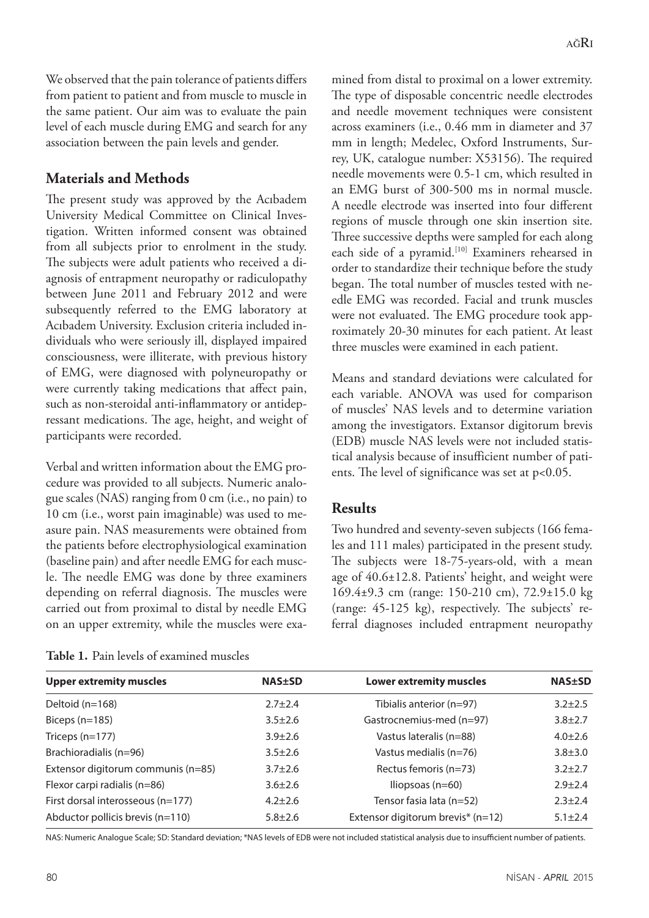We observed that the pain tolerance of patients differs from patient to patient and from muscle to muscle in the same patient. Our aim was to evaluate the pain level of each muscle during EMG and search for any association between the pain levels and gender.

## **Materials and Methods**

The present study was approved by the Acıbadem University Medical Committee on Clinical Investigation. Written informed consent was obtained from all subjects prior to enrolment in the study. The subjects were adult patients who received a diagnosis of entrapment neuropathy or radiculopathy between June 2011 and February 2012 and were subsequently referred to the EMG laboratory at Acıbadem University. Exclusion criteria included individuals who were seriously ill, displayed impaired consciousness, were illiterate, with previous history of EMG, were diagnosed with polyneuropathy or were currently taking medications that affect pain, such as non-steroidal anti-inflammatory or antidepressant medications. The age, height, and weight of participants were recorded.

Verbal and written information about the EMG procedure was provided to all subjects. Numeric analogue scales (NAS) ranging from 0 cm (i.e., no pain) to 10 cm (i.e., worst pain imaginable) was used to measure pain. NAS measurements were obtained from the patients before electrophysiological examination (baseline pain) and after needle EMG for each muscle. The needle EMG was done by three examiners depending on referral diagnosis. The muscles were carried out from proximal to distal by needle EMG on an upper extremity, while the muscles were examined from distal to proximal on a lower extremity. The type of disposable concentric needle electrodes and needle movement techniques were consistent across examiners (i.e., 0.46 mm in diameter and 37 mm in length; Medelec, Oxford Instruments, Surrey, UK, catalogue number: X53156). The required needle movements were 0.5-1 cm, which resulted in an EMG burst of 300-500 ms in normal muscle. A needle electrode was inserted into four different regions of muscle through one skin insertion site. Three successive depths were sampled for each along each side of a pyramid.<sup>[10]</sup> Examiners rehearsed in order to standardize their technique before the study began. The total number of muscles tested with needle EMG was recorded. Facial and trunk muscles were not evaluated. The EMG procedure took approximately 20-30 minutes for each patient. At least three muscles were examined in each patient.

Means and standard deviations were calculated for each variable. ANOVA was used for comparison of muscles' NAS levels and to determine variation among the investigators. Extansor digitorum brevis (EDB) muscle NAS levels were not included statistical analysis because of insufficient number of patients. The level of significance was set at p<0.05.

# **Results**

Two hundred and seventy-seven subjects (166 females and 111 males) participated in the present study. The subjects were 18-75-years-old, with a mean age of 40.6±12.8. Patients' height, and weight were 169.4±9.3 cm (range: 150-210 cm), 72.9±15.0 kg (range: 45-125 kg), respectively. The subjects' referral diagnoses included entrapment neuropathy

| <b>Upper extremity muscles</b>     | <b>NAS±SD</b> | <b>Lower extremity muscles</b>    | <b>NAS±SD</b> |
|------------------------------------|---------------|-----------------------------------|---------------|
| Deltoid (n=168)                    | $2.7 \pm 2.4$ | Tibialis anterior (n=97)          | $3.2 \pm 2.5$ |
| Biceps $(n=185)$                   | $3.5 \pm 2.6$ | Gastrocnemius-med (n=97)          | $3.8 \pm 2.7$ |
| Triceps (n=177)                    | $3.9 \pm 2.6$ | Vastus lateralis (n=88)           | $4.0 \pm 2.6$ |
| Brachioradialis (n=96)             | $3.5 \pm 2.6$ | Vastus medialis (n=76)            | $3.8 + 3.0$   |
| Extensor digitorum communis (n=85) | $3.7 \pm 2.6$ | Rectus femoris (n=73)             | $3.2 \pm 2.7$ |
| Flexor carpi radialis (n=86)       | $3.6 \pm 2.6$ | Iliopsoas $(n=60)$                | $2.9 \pm 2.4$ |
| First dorsal interosseous (n=177)  | $4.2 \pm 2.6$ | Tensor fasia lata (n=52)          | $2.3 \pm 2.4$ |
| Abductor pollicis brevis (n=110)   | $5.8 \pm 2.6$ | Extensor digitorum brevis* (n=12) | $5.1 \pm 2.4$ |

**Table 1.** Pain levels of examined muscles

NAS: Numeric Analogue Scale; SD: Standard deviation; \*NAS levels of EDB were not included statistical analysis due to insufficient number of patients.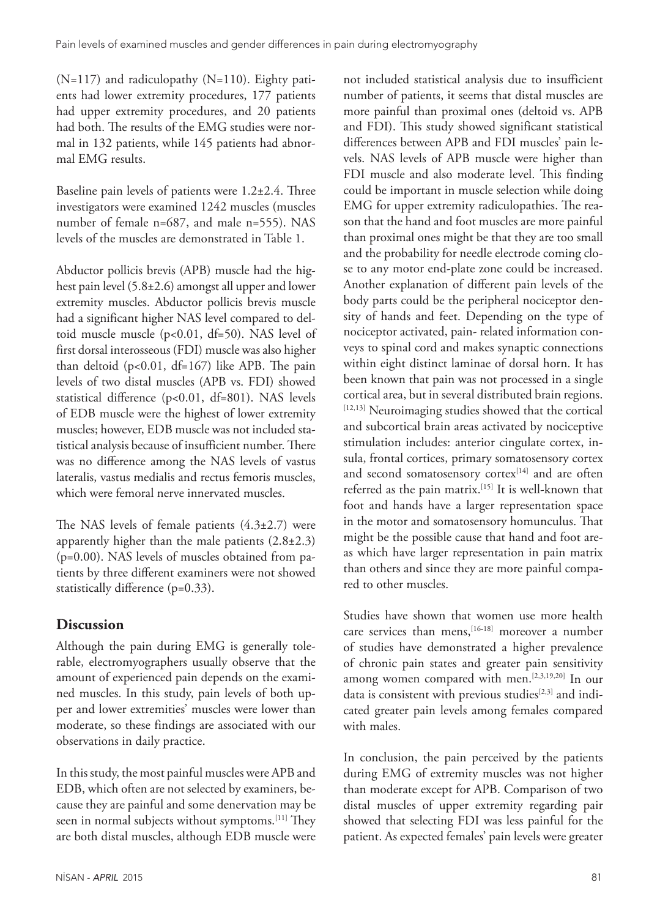$(N=117)$  and radiculopathy  $(N=110)$ . Eighty patients had lower extremity procedures, 177 patients had upper extremity procedures, and 20 patients had both. The results of the EMG studies were normal in 132 patients, while 145 patients had abnormal EMG results.

Baseline pain levels of patients were 1.2±2.4. Three investigators were examined 1242 muscles (muscles number of female n=687, and male n=555). NAS levels of the muscles are demonstrated in Table 1.

Abductor pollicis brevis (APB) muscle had the highest pain level (5.8±2.6) amongst all upper and lower extremity muscles. Abductor pollicis brevis muscle had a significant higher NAS level compared to deltoid muscle muscle (p<0.01, df=50). NAS level of first dorsal interosseous (FDI) muscle was also higher than deltoid  $(p<0.01, df=167)$  like APB. The pain levels of two distal muscles (APB vs. FDI) showed statistical difference (p<0.01, df=801). NAS levels of EDB muscle were the highest of lower extremity muscles; however, EDB muscle was not included statistical analysis because of insufficient number. There was no difference among the NAS levels of vastus lateralis, vastus medialis and rectus femoris muscles, which were femoral nerve innervated muscles.

The NAS levels of female patients  $(4.3\pm2.7)$  were apparently higher than the male patients  $(2.8\pm2.3)$ (p=0.00). NAS levels of muscles obtained from patients by three different examiners were not showed statistically difference (p=0.33).

# **Discussion**

Although the pain during EMG is generally tolerable, electromyographers usually observe that the amount of experienced pain depends on the examined muscles. In this study, pain levels of both upper and lower extremities' muscles were lower than moderate, so these findings are associated with our observations in daily practice.

In this study, the most painful muscles were APB and EDB, which often are not selected by examiners, because they are painful and some denervation may be seen in normal subjects without symptoms.<sup>[11]</sup> They are both distal muscles, although EDB muscle were

number of patients, it seems that distal muscles are more painful than proximal ones (deltoid vs. APB and FDI). This study showed significant statistical differences between APB and FDI muscles' pain levels. NAS levels of APB muscle were higher than FDI muscle and also moderate level. This finding could be important in muscle selection while doing EMG for upper extremity radiculopathies. The reason that the hand and foot muscles are more painful than proximal ones might be that they are too small and the probability for needle electrode coming close to any motor end-plate zone could be increased. Another explanation of different pain levels of the body parts could be the peripheral nociceptor density of hands and feet. Depending on the type of nociceptor activated, pain- related information conveys to spinal cord and makes synaptic connections within eight distinct laminae of dorsal horn. It has been known that pain was not processed in a single cortical area, but in several distributed brain regions. [12,13] Neuroimaging studies showed that the cortical and subcortical brain areas activated by nociceptive stimulation includes: anterior cingulate cortex, insula, frontal cortices, primary somatosensory cortex and second somatosensory cortex<sup>[14]</sup> and are often referred as the pain matrix.<sup>[15]</sup> It is well-known that foot and hands have a larger representation space in the motor and somatosensory homunculus. That might be the possible cause that hand and foot areas which have larger representation in pain matrix than others and since they are more painful compared to other muscles.

not included statistical analysis due to insufficient

Studies have shown that women use more health care services than mens,<sup>[16-18]</sup> moreover a number of studies have demonstrated a higher prevalence of chronic pain states and greater pain sensitivity among women compared with men.<sup>[2,3,19,20]</sup> In our data is consistent with previous studies<sup>[2,3]</sup> and indicated greater pain levels among females compared with males.

In conclusion, the pain perceived by the patients during EMG of extremity muscles was not higher than moderate except for APB. Comparison of two distal muscles of upper extremity regarding pair showed that selecting FDI was less painful for the patient. As expected females' pain levels were greater